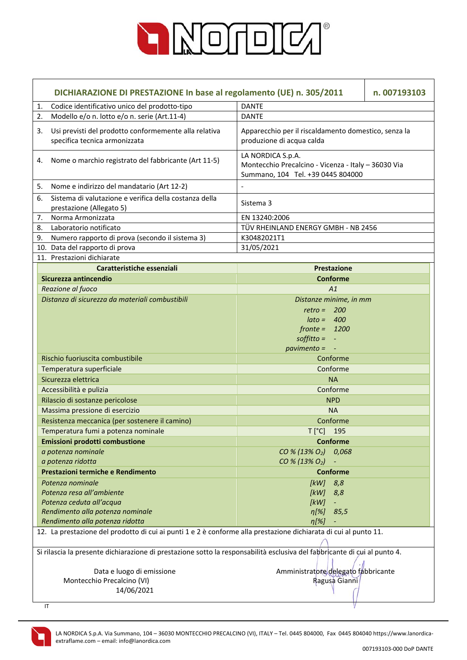

|    | DICHIARAZIONE DI PRESTAZIONE In base al regolamento (UE) n. 305/2011<br>n. 007193103                                      |                                                                                                               |  |
|----|---------------------------------------------------------------------------------------------------------------------------|---------------------------------------------------------------------------------------------------------------|--|
| 1. | Codice identificativo unico del prodotto-tipo                                                                             | <b>DANTE</b>                                                                                                  |  |
| 2. | Modello e/o n. lotto e/o n. serie (Art.11-4)                                                                              | <b>DANTE</b>                                                                                                  |  |
| 3. | Usi previsti del prodotto conformemente alla relativa<br>specifica tecnica armonizzata                                    | Apparecchio per il riscaldamento domestico, senza la<br>produzione di acqua calda                             |  |
| 4. | Nome o marchio registrato del fabbricante (Art 11-5)                                                                      | LA NORDICA S.p.A.<br>Montecchio Precalcino - Vicenza - Italy - 36030 Via<br>Summano, 104 Tel. +39 0445 804000 |  |
| 5. | Nome e indirizzo del mandatario (Art 12-2)                                                                                |                                                                                                               |  |
| 6. | Sistema di valutazione e verifica della costanza della<br>prestazione (Allegato 5)                                        | Sistema 3                                                                                                     |  |
| 7. | Norma Armonizzata                                                                                                         | EN 13240:2006                                                                                                 |  |
| 8. | Laboratorio notificato                                                                                                    | TÜV RHEINLAND ENERGY GMBH - NB 2456                                                                           |  |
| 9. | Numero rapporto di prova (secondo il sistema 3)                                                                           | K30482021T1                                                                                                   |  |
|    | 10. Data del rapporto di prova                                                                                            | 31/05/2021                                                                                                    |  |
|    | 11. Prestazioni dichiarate                                                                                                |                                                                                                               |  |
|    | Caratteristiche essenziali                                                                                                | <b>Prestazione</b>                                                                                            |  |
|    | Sicurezza antincendio                                                                                                     | <b>Conforme</b>                                                                                               |  |
|    | Reazione al fuoco                                                                                                         | A1                                                                                                            |  |
|    | Distanza di sicurezza da materiali combustibili                                                                           | Distanze minime, in mm                                                                                        |  |
|    |                                                                                                                           | $retro = 200$                                                                                                 |  |
|    |                                                                                                                           | $\theta$ ato = 400                                                                                            |  |
|    |                                                                                                                           | $fronte = 1200$                                                                                               |  |
|    |                                                                                                                           | $\text{soft}$ = $-$                                                                                           |  |
|    |                                                                                                                           | $pavimento = -$                                                                                               |  |
|    | Rischio fuoriuscita combustibile                                                                                          | Conforme                                                                                                      |  |
|    | Temperatura superficiale                                                                                                  | Conforme                                                                                                      |  |
|    | Sicurezza elettrica                                                                                                       | <b>NA</b>                                                                                                     |  |
|    | Accessibilità e pulizia                                                                                                   | Conforme                                                                                                      |  |
|    | Rilascio di sostanze pericolose                                                                                           | <b>NPD</b>                                                                                                    |  |
|    | Massima pressione di esercizio                                                                                            | <b>NA</b>                                                                                                     |  |
|    | Resistenza meccanica (per sostenere il camino)                                                                            | Conforme                                                                                                      |  |
|    | Temperatura fumi a potenza nominale                                                                                       | T [°C] 195                                                                                                    |  |
|    | Emissioni prodotti combustione                                                                                            | <b>Conforme</b>                                                                                               |  |
|    | a potenza nominale                                                                                                        | CO % (13% O <sub>2</sub> ) 0.068                                                                              |  |
|    | a potenza ridotta<br>Prestazioni termiche e Rendimento                                                                    | CO % (13% O <sub>2</sub> )<br><b>Conforme</b>                                                                 |  |
|    |                                                                                                                           |                                                                                                               |  |
|    | Potenza nominale<br>Potenza resa all'ambiente                                                                             | [kW]<br>8,8                                                                                                   |  |
|    | Potenza ceduta all'acqua                                                                                                  | [ $kW$ ]<br>8,8<br>[kW]<br>$\overline{\phantom{a}}$                                                           |  |
|    | Rendimento alla potenza nominale                                                                                          | $\eta[\%]$<br>85,5                                                                                            |  |
|    | Rendimento alla potenza ridotta                                                                                           | $\eta$ [%]                                                                                                    |  |
|    | 12. La prestazione del prodotto di cui ai punti 1 e 2 è conforme alla prestazione dichiarata di cui al punto 11.          |                                                                                                               |  |
|    |                                                                                                                           |                                                                                                               |  |
|    | Si rilascia la presente dichiarazione di prestazione sotto la responsabilità esclusiva del fabbricante di cui al punto 4. |                                                                                                               |  |
|    | Data e luogo di emissione                                                                                                 | Amministratore delegato fabbricante                                                                           |  |
|    | Montecchio Precalcino (VI)                                                                                                | Ragusa Gianni                                                                                                 |  |
|    | 14/06/2021                                                                                                                |                                                                                                               |  |
|    | $\mathsf{I}\mathsf{T}$                                                                                                    |                                                                                                               |  |

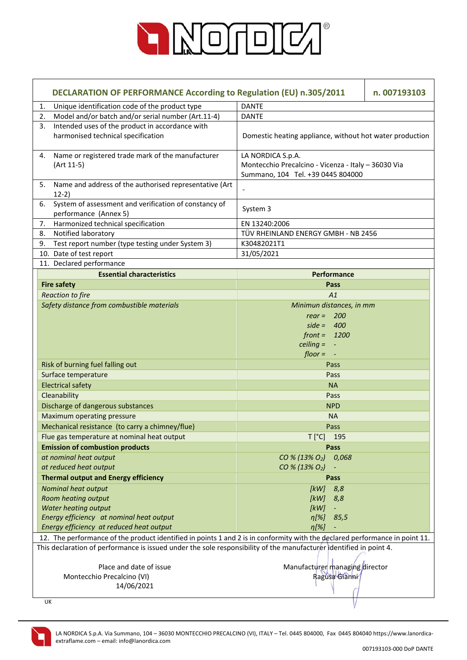

| DECLARATION OF PERFORMANCE According to Regulation (EU) n.305/2011                                                          |                                                                                                               | n. 007193103 |
|-----------------------------------------------------------------------------------------------------------------------------|---------------------------------------------------------------------------------------------------------------|--------------|
| Unique identification code of the product type<br>1.                                                                        | <b>DANTE</b>                                                                                                  |              |
| Model and/or batch and/or serial number (Art.11-4)<br>2.                                                                    | <b>DANTE</b>                                                                                                  |              |
| Intended uses of the product in accordance with<br>3.<br>harmonised technical specification                                 | Domestic heating appliance, without hot water production                                                      |              |
| Name or registered trade mark of the manufacturer<br>4.<br>(Art 11-5)                                                       | LA NORDICA S.p.A.<br>Montecchio Precalcino - Vicenza - Italy - 36030 Via<br>Summano, 104 Tel. +39 0445 804000 |              |
| Name and address of the authorised representative (Art<br>5.<br>$12-2)$                                                     |                                                                                                               |              |
| System of assessment and verification of constancy of<br>6.<br>performance (Annex 5)                                        | System 3                                                                                                      |              |
| Harmonized technical specification<br>7.                                                                                    | EN 13240:2006                                                                                                 |              |
| Notified laboratory<br>8.                                                                                                   | TÜV RHEINLAND ENERGY GMBH - NB 2456                                                                           |              |
| Test report number (type testing under System 3)<br>9.                                                                      | K30482021T1                                                                                                   |              |
| 10. Date of test report                                                                                                     | 31/05/2021                                                                                                    |              |
| 11. Declared performance                                                                                                    |                                                                                                               |              |
| <b>Essential characteristics</b>                                                                                            | <b>Performance</b>                                                                                            |              |
| <b>Fire safety</b>                                                                                                          | Pass                                                                                                          |              |
| <b>Reaction to fire</b>                                                                                                     | A1                                                                                                            |              |
| Safety distance from combustible materials                                                                                  | Minimun distances, in mm                                                                                      |              |
|                                                                                                                             | rear = $200$                                                                                                  |              |
|                                                                                                                             | side = $400$                                                                                                  |              |
|                                                                                                                             | $front = 1200$                                                                                                |              |
|                                                                                                                             | $celing = -$                                                                                                  |              |
|                                                                                                                             | $floor = -$                                                                                                   |              |
| Risk of burning fuel falling out<br>Surface temperature                                                                     | Pass                                                                                                          |              |
| <b>Electrical safety</b>                                                                                                    | Pass<br><b>NA</b>                                                                                             |              |
| Cleanability                                                                                                                |                                                                                                               |              |
|                                                                                                                             | Pass<br><b>NPD</b>                                                                                            |              |
| Discharge of dangerous substances                                                                                           |                                                                                                               |              |
| Maximum operating pressure                                                                                                  | <b>NA</b>                                                                                                     |              |
| Mechanical resistance (to carry a chimney/flue)                                                                             | Pass                                                                                                          |              |
| Flue gas temperature at nominal heat output                                                                                 | T [°C] 195                                                                                                    |              |
| <b>Emission of combustion products</b>                                                                                      | Pass                                                                                                          |              |
| at nominal heat output                                                                                                      | CO % (13% O <sub>2</sub> ) 0,068                                                                              |              |
| at reduced heat output                                                                                                      | CO % (13% O <sub>2</sub> )                                                                                    |              |
| <b>Thermal output and Energy efficiency</b>                                                                                 | Pass                                                                                                          |              |
| Nominal heat output                                                                                                         | 8,8<br>[kW]                                                                                                   |              |
| Room heating output<br><b>Water heating output</b>                                                                          | [kW]<br>8,8<br>[kW]<br>$\overline{\phantom{a}}$                                                               |              |
| Energy efficiency at nominal heat output                                                                                    | $\eta$ [%]<br>85,5                                                                                            |              |
| Energy efficiency at reduced heat output                                                                                    | $\eta$ [%]                                                                                                    |              |
| 12. The performance of the product identified in points 1 and 2 is in conformity with the declared performance in point 11. |                                                                                                               |              |
| This declaration of performance is issued under the sole responsibility of the manufacturer dentified in point 4.           |                                                                                                               |              |
|                                                                                                                             |                                                                                                               |              |
| Place and date of issue                                                                                                     | Manufacturer managing director                                                                                |              |
| Montecchio Precalcino (VI)                                                                                                  | Ragusa Gianni                                                                                                 |              |
| 14/06/2021                                                                                                                  |                                                                                                               |              |
|                                                                                                                             |                                                                                                               |              |
| UK                                                                                                                          |                                                                                                               |              |

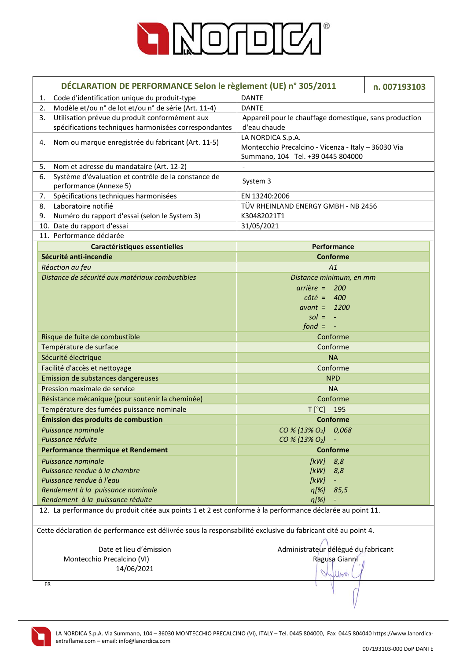

| DÉCLARATION DE PERFORMANCE Selon le règlement (UE) n° 305/2011                                               |                                                                                                               | n. 007193103 |
|--------------------------------------------------------------------------------------------------------------|---------------------------------------------------------------------------------------------------------------|--------------|
| Code d'identification unique du produit-type<br>1.                                                           | <b>DANTE</b>                                                                                                  |              |
| Modèle et/ou n° de lot et/ou n° de série (Art. 11-4)<br>2.                                                   | <b>DANTE</b>                                                                                                  |              |
| Utilisation prévue du produit conformément aux<br>3.                                                         | Appareil pour le chauffage domestique, sans production                                                        |              |
| spécifications techniques harmonisées correspondantes                                                        | d'eau chaude                                                                                                  |              |
| Nom ou marque enregistrée du fabricant (Art. 11-5)<br>4.                                                     | LA NORDICA S.p.A.<br>Montecchio Precalcino - Vicenza - Italy - 36030 Via<br>Summano, 104 Tel. +39 0445 804000 |              |
| Nom et adresse du mandataire (Art. 12-2)<br>5.                                                               |                                                                                                               |              |
| Système d'évaluation et contrôle de la constance de<br>6.                                                    |                                                                                                               |              |
| performance (Annexe 5)                                                                                       | System 3                                                                                                      |              |
| 7.<br>Spécifications techniques harmonisées                                                                  | EN 13240:2006                                                                                                 |              |
| Laboratoire notifié<br>8.                                                                                    | TÜV RHEINLAND ENERGY GMBH - NB 2456                                                                           |              |
| Numéro du rapport d'essai (selon le System 3)<br>9.                                                          | K30482021T1                                                                                                   |              |
| 10. Date du rapport d'essai                                                                                  | 31/05/2021                                                                                                    |              |
| 11. Performance déclarée                                                                                     |                                                                                                               |              |
| <b>Caractéristiques essentielles</b>                                                                         | Performance                                                                                                   |              |
| Sécurité anti-incendie                                                                                       | <b>Conforme</b>                                                                                               |              |
| Réaction au feu                                                                                              | A1                                                                                                            |              |
| Distance de sécurité aux matériaux combustibles                                                              | Distance minimum, en mm                                                                                       |              |
|                                                                                                              | $arrière = 200$                                                                                               |              |
|                                                                                                              | $c \hat{o} t \hat{e} = 400$                                                                                   |              |
|                                                                                                              | avant = $1200$                                                                                                |              |
|                                                                                                              | $sol = -$                                                                                                     |              |
|                                                                                                              | $f$ ond = $-$                                                                                                 |              |
| Risque de fuite de combustible                                                                               | Conforme                                                                                                      |              |
| Température de surface                                                                                       | Conforme                                                                                                      |              |
| Sécurité électrique                                                                                          | <b>NA</b>                                                                                                     |              |
| Facilité d'accès et nettoyage                                                                                | Conforme                                                                                                      |              |
| Emission de substances dangereuses                                                                           | <b>NPD</b>                                                                                                    |              |
| Pression maximale de service                                                                                 | <b>NA</b>                                                                                                     |              |
| Résistance mécanique (pour soutenir la cheminée)                                                             | Conforme                                                                                                      |              |
| Température des fumées puissance nominale                                                                    | $T[^{\circ}C]$ 195                                                                                            |              |
| Émission des produits de combustion                                                                          | <b>Conforme</b>                                                                                               |              |
| Puissance nominale                                                                                           | CO % (13% O <sub>2</sub> ) 0.068                                                                              |              |
| Puissance réduite                                                                                            | CO % (13% O <sub>2</sub> )                                                                                    |              |
| <b>Performance thermique et Rendement</b>                                                                    | <b>Conforme</b>                                                                                               |              |
| Puissance nominale                                                                                           | 8,8<br>[kW]                                                                                                   |              |
| Puissance rendue à la chambre<br>Puissance rendue à l'eau                                                    | [kW]<br>8,8<br>[kW]                                                                                           |              |
| Rendement à la puissance nominale                                                                            | $\eta$ [%] 85,5                                                                                               |              |
| Rendement à la puissance réduite                                                                             | $\eta$ [%]                                                                                                    |              |
| 12. La performance du produit citée aux points 1 et 2 est conforme à la performance déclarée au point 11.    |                                                                                                               |              |
|                                                                                                              |                                                                                                               |              |
| Cette déclaration de performance est délivrée sous la responsabilité exclusive du fabricant cité au point 4. |                                                                                                               |              |
| Date et lieu d'émission                                                                                      | Administrateur délégué du fabricant                                                                           |              |
| Montecchio Precalcino (VI)                                                                                   | Ragusa Gianni                                                                                                 |              |
| 14/06/2021                                                                                                   |                                                                                                               |              |
|                                                                                                              | Unlbook                                                                                                       |              |
| FR                                                                                                           |                                                                                                               |              |

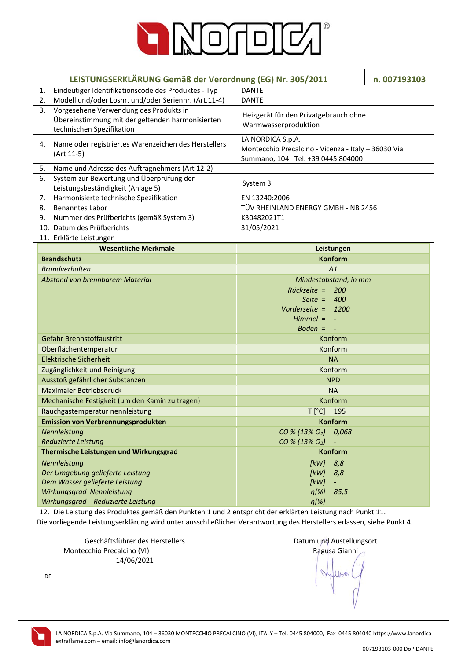

| LEISTUNGSERKLÄRUNG Gemäß der Verordnung (EG) Nr. 305/2011                                                             |                                                        | n. 007193103 |
|-----------------------------------------------------------------------------------------------------------------------|--------------------------------------------------------|--------------|
| Eindeutiger Identifikationscode des Produktes - Typ<br>1.                                                             | <b>DANTE</b>                                           |              |
| 2.<br>Modell und/oder Losnr. und/oder Seriennr. (Art.11-4)                                                            | <b>DANTE</b>                                           |              |
| Vorgesehene Verwendung des Produkts in<br>3.                                                                          |                                                        |              |
| Übereinstimmung mit der geltenden harmonisierten                                                                      | Heizgerät für den Privatgebrauch ohne                  |              |
| technischen Spezifikation                                                                                             | Warmwasserproduktion                                   |              |
|                                                                                                                       | LA NORDICA S.p.A.                                      |              |
| Name oder registriertes Warenzeichen des Herstellers<br>4.                                                            | Montecchio Precalcino - Vicenza - Italy - 36030 Via    |              |
| (Art 11-5)                                                                                                            | Summano, 104 Tel. +39 0445 804000                      |              |
| Name und Adresse des Auftragnehmers (Art 12-2)<br>5.                                                                  |                                                        |              |
| System zur Bewertung und Überprüfung der<br>6.                                                                        | System 3                                               |              |
| Leistungsbeständigkeit (Anlage 5)                                                                                     |                                                        |              |
| Harmonisierte technische Spezifikation<br>7.                                                                          | EN 13240:2006                                          |              |
| <b>Benanntes Labor</b><br>8.                                                                                          | TÜV RHEINLAND ENERGY GMBH - NB 2456                    |              |
| Nummer des Prüfberichts (gemäß System 3)<br>9.                                                                        | K30482021T1                                            |              |
| 10. Datum des Prüfberichts                                                                                            | 31/05/2021                                             |              |
| 11. Erklärte Leistungen                                                                                               |                                                        |              |
| <b>Wesentliche Merkmale</b>                                                                                           | Leistungen                                             |              |
| <b>Brandschutz</b>                                                                                                    | <b>Konform</b>                                         |              |
| <b>Brandverhalten</b>                                                                                                 | A1                                                     |              |
| Abstand von brennbarem Material                                                                                       | Mindestabstand, in mm                                  |              |
|                                                                                                                       | Rückseite = 200                                        |              |
|                                                                                                                       | Seite $= 400$                                          |              |
|                                                                                                                       | Vorderseite = $1200$                                   |              |
|                                                                                                                       | $Himmel = -$                                           |              |
|                                                                                                                       | Boden $= -$                                            |              |
| Gefahr Brennstoffaustritt                                                                                             | Konform                                                |              |
| Oberflächentemperatur                                                                                                 | Konform                                                |              |
| <b>Elektrische Sicherheit</b>                                                                                         | <b>NA</b>                                              |              |
| Zugänglichkeit und Reinigung                                                                                          | Konform                                                |              |
| Ausstoß gefährlicher Substanzen                                                                                       | <b>NPD</b>                                             |              |
| <b>Maximaler Betriebsdruck</b>                                                                                        | <b>NA</b>                                              |              |
| Mechanische Festigkeit (um den Kamin zu tragen)                                                                       | Konform                                                |              |
| Rauchgastemperatur nennleistung                                                                                       | T [°C] 195                                             |              |
| <b>Emission von Verbrennungsprodukten</b>                                                                             | Konform                                                |              |
| Nennleistung                                                                                                          | CO % (13% O <sub>2</sub> )<br>0,068                    |              |
| Reduzierte Leistung                                                                                                   | CO % (13% O <sub>2</sub> )<br>$\overline{\phantom{a}}$ |              |
| Thermische Leistungen und Wirkungsgrad                                                                                | <b>Konform</b>                                         |              |
| Nennleistung                                                                                                          | 8,8<br>[kW]                                            |              |
| Der Umgebung gelieferte Leistung                                                                                      | [kW]<br>8,8                                            |              |
| Dem Wasser gelieferte Leistung                                                                                        | [kW]<br>$\overline{\phantom{a}}$                       |              |
| Wirkungsgrad Nennleistung                                                                                             | $\eta$ [%]<br>85,5                                     |              |
| Wirkungsgrad Reduzierte Leistung                                                                                      | $\eta$ [%]                                             |              |
| 12. Die Leistung des Produktes gemäß den Punkten 1 und 2 entspricht der erklärten Leistung nach Punkt 11.             |                                                        |              |
| Die vorliegende Leistungserklärung wird unter ausschließlicher Verantwortung des Herstellers erlassen, siehe Punkt 4. |                                                        |              |
|                                                                                                                       |                                                        |              |
| Geschäftsführer des Herstellers                                                                                       | Datum und Austellungsort                               |              |
| Montecchio Precalcino (VI)                                                                                            | Ragusa Gianni                                          |              |
| 14/06/2021                                                                                                            |                                                        |              |
|                                                                                                                       |                                                        |              |
| DE                                                                                                                    | WHA                                                    |              |
|                                                                                                                       |                                                        |              |
|                                                                                                                       |                                                        |              |
|                                                                                                                       |                                                        |              |

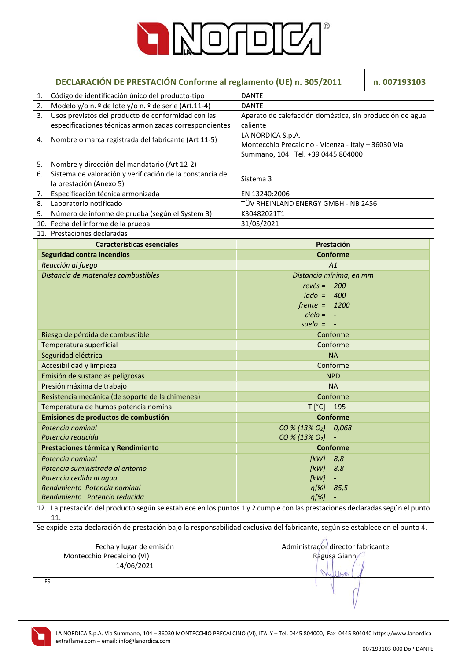

|    | DECLARACIÓN DE PRESTACIÓN Conforme al reglamento (UE) n. 305/2011<br>n. 007193103                                                  |                                                                                                               |  |  |
|----|------------------------------------------------------------------------------------------------------------------------------------|---------------------------------------------------------------------------------------------------------------|--|--|
| 1. | Código de identificación único del producto-tipo                                                                                   | <b>DANTE</b>                                                                                                  |  |  |
| 2. | Modelo y/o n. º de lote y/o n. º de serie (Art.11-4)                                                                               | <b>DANTE</b>                                                                                                  |  |  |
| 3. | Usos previstos del producto de conformidad con las<br>especificaciones técnicas armonizadas correspondientes                       | Aparato de calefacción doméstica, sin producción de agua<br>caliente                                          |  |  |
| 4. | Nombre o marca registrada del fabricante (Art 11-5)                                                                                | LA NORDICA S.p.A.<br>Montecchio Precalcino - Vicenza - Italy - 36030 Via<br>Summano, 104 Tel. +39 0445 804000 |  |  |
| 5. | Nombre y dirección del mandatario (Art 12-2)                                                                                       |                                                                                                               |  |  |
| 6. | Sistema de valoración y verificación de la constancia de<br>la prestación (Anexo 5)                                                | Sistema 3                                                                                                     |  |  |
| 7. | Especificación técnica armonizada                                                                                                  | EN 13240:2006                                                                                                 |  |  |
| 8. | Laboratorio notificado                                                                                                             | TÜV RHEINLAND ENERGY GMBH - NB 2456                                                                           |  |  |
| 9. | Número de informe de prueba (según el System 3)                                                                                    | K30482021T1                                                                                                   |  |  |
|    | 10. Fecha del informe de la prueba                                                                                                 | 31/05/2021                                                                                                    |  |  |
|    | 11. Prestaciones declaradas                                                                                                        |                                                                                                               |  |  |
|    | <b>Características esenciales</b>                                                                                                  | Prestación                                                                                                    |  |  |
|    | <b>Seguridad contra incendios</b>                                                                                                  | <b>Conforme</b>                                                                                               |  |  |
|    | Reacción al fuego                                                                                                                  | A1                                                                                                            |  |  |
|    | Distancia de materiales combustibles                                                                                               | Distancia mínima, en mm                                                                                       |  |  |
|    |                                                                                                                                    | $rev\acute{e}s = 200$                                                                                         |  |  |
|    |                                                                                                                                    | $lado = 400$                                                                                                  |  |  |
|    |                                                                                                                                    | $f$ rente = 1200                                                                                              |  |  |
|    |                                                                                                                                    | $cielo = -$                                                                                                   |  |  |
|    |                                                                                                                                    | suelo $= -$                                                                                                   |  |  |
|    | Riesgo de pérdida de combustible                                                                                                   | Conforme                                                                                                      |  |  |
|    | Temperatura superficial                                                                                                            | Conforme                                                                                                      |  |  |
|    | Seguridad eléctrica                                                                                                                | <b>NA</b>                                                                                                     |  |  |
|    | Accesibilidad y limpieza                                                                                                           | Conforme                                                                                                      |  |  |
|    | Emisión de sustancias peligrosas                                                                                                   | <b>NPD</b>                                                                                                    |  |  |
|    | Presión máxima de trabajo                                                                                                          | <b>NA</b>                                                                                                     |  |  |
|    | Resistencia mecánica (de soporte de la chimenea)                                                                                   | Conforme                                                                                                      |  |  |
|    | Temperatura de humos potencia nominal                                                                                              | $T[^{\circ}C]$<br>195                                                                                         |  |  |
|    | Emisiones de productos de combustión                                                                                               | <b>Conforme</b>                                                                                               |  |  |
|    | Potencia nominal                                                                                                                   | CO % (13% O <sub>2</sub> ) 0,068                                                                              |  |  |
|    | Potencia reducida                                                                                                                  | CO % (13% O <sub>2</sub> )                                                                                    |  |  |
|    | Prestaciones térmica y Rendimiento                                                                                                 | <b>Conforme</b>                                                                                               |  |  |
|    | Potencia nominal                                                                                                                   | $[kW]$ 8,8                                                                                                    |  |  |
|    | Potencia suministrada al entorno                                                                                                   | [kW]<br>8,8                                                                                                   |  |  |
|    | Potencia cedida al agua                                                                                                            | [kW]                                                                                                          |  |  |
|    | Rendimiento Potencia nominal                                                                                                       | η[%]<br>85,5                                                                                                  |  |  |
|    | Rendimiento Potencia reducida                                                                                                      | $\eta[\%]$                                                                                                    |  |  |
|    | 12. La prestación del producto según se establece en los puntos 1 y 2 cumple con las prestaciones declaradas según el punto<br>11. |                                                                                                               |  |  |
|    | Se expide esta declaración de prestación bajo la responsabilidad exclusiva del fabricante, según se establece en el punto 4.       |                                                                                                               |  |  |
|    | Fecha y lugar de emisión                                                                                                           | Administrador director fabricante                                                                             |  |  |
|    | Montecchio Precalcino (VI)                                                                                                         | Ragusa Gianni                                                                                                 |  |  |
|    | 14/06/2021                                                                                                                         |                                                                                                               |  |  |
|    | ES                                                                                                                                 |                                                                                                               |  |  |
|    |                                                                                                                                    |                                                                                                               |  |  |

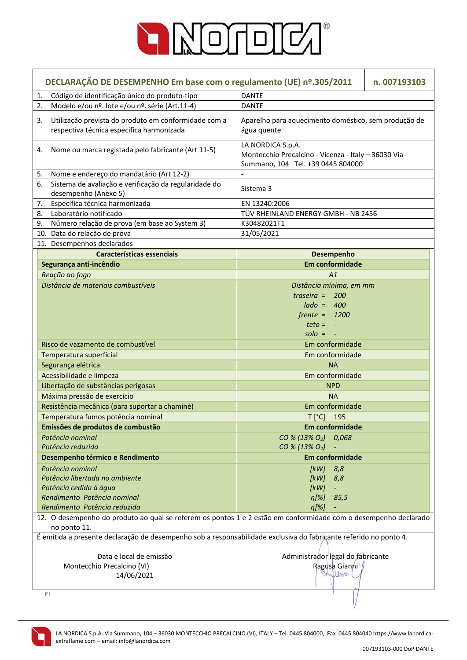

| DECLARAÇÃO DE DESEMPENHO Em base com o regulamento (UE) nº.305/2011<br>n. 007193103                                             |                                                                                                               |  |
|---------------------------------------------------------------------------------------------------------------------------------|---------------------------------------------------------------------------------------------------------------|--|
| Código de identificação único do produto-tipo<br>1.                                                                             | <b>DANTE</b>                                                                                                  |  |
| Modelo e/ou nº. lote e/ou nº. série (Art.11-4)<br>2.                                                                            | <b>DANTE</b>                                                                                                  |  |
| Utilização prevista do produto em conformidade com a<br>3.<br>respectiva técnica especifica harmonizada                         | Aparelho para aquecimento doméstico, sem produção de<br>água quente                                           |  |
| Nome ou marca registada pelo fabricante (Art 11-5)<br>4.                                                                        | LA NORDICA S.p.A.<br>Montecchio Precalcino - Vicenza - Italy - 36030 Via<br>Summano, 104 Tel. +39 0445 804000 |  |
| Nome e endereço do mandatário (Art 12-2)<br>5.                                                                                  | $\overline{\phantom{a}}$                                                                                      |  |
| Sistema de avaliação e verificação da regularidade do<br>6.<br>desempenho (Anexo 5)                                             | Sistema 3                                                                                                     |  |
| 7.<br>Específica técnica harmonizada                                                                                            | EN 13240:2006                                                                                                 |  |
| Laboratório notificado<br>8.                                                                                                    | TÜV RHEINLAND ENERGY GMBH - NB 2456                                                                           |  |
| Número relação de prova (em base ao System 3)<br>9.                                                                             | K30482021T1                                                                                                   |  |
| 10. Data do relação de prova                                                                                                    | 31/05/2021                                                                                                    |  |
| 11. Desempenhos declarados                                                                                                      |                                                                                                               |  |
| Características essenciais                                                                                                      | Desempenho                                                                                                    |  |
| Segurança anti-incêndio                                                                                                         | Em conformidade                                                                                               |  |
| Reação ao fogo                                                                                                                  | A1                                                                                                            |  |
| Distância de materiais combustíveis                                                                                             | Distância mínima, em mm                                                                                       |  |
|                                                                                                                                 | traseira $=$<br>200                                                                                           |  |
|                                                                                                                                 | $lado = 400$                                                                                                  |  |
|                                                                                                                                 | $f$ rente = 1200                                                                                              |  |
|                                                                                                                                 | $teto = -$                                                                                                    |  |
|                                                                                                                                 | $\textit{solo} = -$                                                                                           |  |
| Risco de vazamento de combustível                                                                                               | Em conformidade                                                                                               |  |
| Temperatura superficial                                                                                                         | Em conformidade                                                                                               |  |
| Segurança elétrica                                                                                                              | <b>NA</b>                                                                                                     |  |
| Acessibilidade e limpeza                                                                                                        | Em conformidade                                                                                               |  |
| Libertação de substâncias perigosas                                                                                             | <b>NPD</b>                                                                                                    |  |
| Máxima pressão de exercício                                                                                                     | <b>NA</b>                                                                                                     |  |
| Resistência mecânica (para suportar a chaminé)                                                                                  | Em conformidade                                                                                               |  |
| Temperatura fumos potência nominal                                                                                              | $T[^{\circ}C]$<br>195                                                                                         |  |
| Emissões de produtos de combustão                                                                                               | <b>Em conformidade</b>                                                                                        |  |
| Potência nominal                                                                                                                | CO % (13% O <sub>2</sub> ) 0,068                                                                              |  |
| Potência reduzida                                                                                                               | $CO % (13% O2) -$                                                                                             |  |
| Desempenho térmico e Rendimento                                                                                                 | Em conformidade                                                                                               |  |
| Potência nominal                                                                                                                | $[kW]$ 8,8                                                                                                    |  |
| Potência libertada no ambiente                                                                                                  | [kW]<br>8,8                                                                                                   |  |
| Potência cedida à água                                                                                                          | [kW]                                                                                                          |  |
| Rendimento Potência nominal                                                                                                     | $\eta[\%]$<br>85,5                                                                                            |  |
| Rendimento Potência reduzida                                                                                                    | $\eta$ [%]                                                                                                    |  |
| 12. O desempenho do produto ao qual se referem os pontos 1 e 2 estão em conformidade com o desempenho declarado<br>no ponto 11. |                                                                                                               |  |
| É emitida a presente declaração de desempenho sob a responsabilidade exclusiva do fabricante referido no ponto 4.               |                                                                                                               |  |
| Data e local de emissão                                                                                                         | Administrador legal do fabricante                                                                             |  |
| Montecchio Precalcino (VI)                                                                                                      | Ragusa Gianni /                                                                                               |  |
| 14/06/2021                                                                                                                      | Milbor                                                                                                        |  |
| PT                                                                                                                              |                                                                                                               |  |

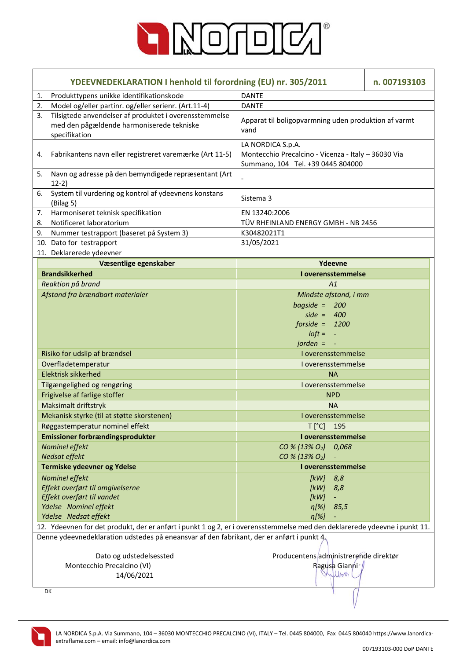

| YDEEVNEDEKLARATION I henhold til forordning (EU) nr. 305/2011                                                              |                                                                                                               | n. 007193103 |
|----------------------------------------------------------------------------------------------------------------------------|---------------------------------------------------------------------------------------------------------------|--------------|
| Produkttypens unikke identifikationskode<br>1.                                                                             | <b>DANTE</b>                                                                                                  |              |
| Model og/eller partinr. og/eller serienr. (Art.11-4)<br>2.                                                                 | <b>DANTE</b>                                                                                                  |              |
| Tilsigtede anvendelser af produktet i overensstemmelse<br>3.<br>med den pågældende harmoniserede tekniske<br>specifikation | Apparat til boligopvarmning uden produktion af varmt<br>vand                                                  |              |
| Fabrikantens navn eller registreret varemærke (Art 11-5)<br>4.                                                             | LA NORDICA S.p.A.<br>Montecchio Precalcino - Vicenza - Italy - 36030 Via<br>Summano, 104 Tel. +39 0445 804000 |              |
| Navn og adresse på den bemyndigede repræsentant (Art<br>5.<br>$12-2)$                                                      |                                                                                                               |              |
| System til vurdering og kontrol af ydeevnens konstans<br>6.<br>(Bilag 5)                                                   | Sistema 3                                                                                                     |              |
| Harmoniseret teknisk specifikation<br>7.                                                                                   | EN 13240:2006                                                                                                 |              |
| Notificeret laboratorium<br>8.                                                                                             | TÜV RHEINLAND ENERGY GMBH - NB 2456                                                                           |              |
| Nummer testrapport (baseret på System 3)<br>9.                                                                             | K30482021T1                                                                                                   |              |
| 10. Dato for testrapport                                                                                                   | 31/05/2021                                                                                                    |              |
| 11. Deklarerede ydeevner                                                                                                   |                                                                                                               |              |
| Væsentlige egenskaber                                                                                                      | Ydeevne                                                                                                       |              |
| <b>Brandsikkerhed</b>                                                                                                      | I overensstemmelse                                                                                            |              |
| Reaktion på brand                                                                                                          | A1                                                                                                            |              |
| Afstand fra brændbart materialer                                                                                           | Mindste afstand, i mm                                                                                         |              |
|                                                                                                                            | bagside = $200$                                                                                               |              |
|                                                                                                                            | side = $400$                                                                                                  |              |
|                                                                                                                            | forside = $1200$                                                                                              |              |
|                                                                                                                            | $I$ oft = $-$                                                                                                 |              |
|                                                                                                                            | jorden $= -$                                                                                                  |              |
| Risiko for udslip af brændsel                                                                                              | I overensstemmelse                                                                                            |              |
| Overfladetemperatur                                                                                                        | I overensstemmelse                                                                                            |              |
| <b>Elektrisk sikkerhed</b>                                                                                                 | <b>NA</b>                                                                                                     |              |
| Tilgængelighed og rengøring                                                                                                | Loverensstemmelse                                                                                             |              |
| Frigivelse af farlige stoffer                                                                                              | <b>NPD</b>                                                                                                    |              |
| Maksimalt driftstryk                                                                                                       | <b>NA</b>                                                                                                     |              |
| Mekanisk styrke (til at støtte skorstenen)                                                                                 | I overensstemmelse                                                                                            |              |
| Røggastemperatur nominel effekt                                                                                            | $\mathsf{T}\left[ \text{ }^{\circ}\mathsf{C}\right]$<br>195                                                   |              |
| Emissioner forbrændingsprodukter                                                                                           | I overensstemmelse                                                                                            |              |
| Nominel effekt                                                                                                             | $CO % (13% O2)$ 0,068                                                                                         |              |
| Nedsat effekt                                                                                                              | CO % (13% O <sub>2</sub> )                                                                                    |              |
| Termiske ydeevner og Ydelse                                                                                                | I overensstemmelse                                                                                            |              |
| Nominel effekt                                                                                                             | 8,8<br>[kW]                                                                                                   |              |
| Effekt overført til omgivelserne<br>Effekt overført til vandet                                                             | [kW]<br>8,8                                                                                                   |              |
| Ydelse Nominel effekt                                                                                                      | [kW]<br>÷<br>$\eta[\%]$<br>85,5                                                                               |              |
| Ydelse Nedsat effekt                                                                                                       | $\eta$ [%]                                                                                                    |              |
| 12. Ydeevnen for det produkt, der er anført i punkt 1 og 2, er i overensstemmelse med den deklarerede ydeevne i punkt 11.  |                                                                                                               |              |
| Denne ydeevnedeklaration udstedes på eneansvar af den fabrikant, der er anført i punkt 4,                                  |                                                                                                               |              |
| Dato og udstedelsessted                                                                                                    | Producentens administrerende direktør                                                                         |              |
| Montecchio Precalcino (VI)                                                                                                 | Ragusa Gianni /                                                                                               |              |
| 14/06/2021                                                                                                                 | Wilbert                                                                                                       |              |
| DK                                                                                                                         |                                                                                                               |              |

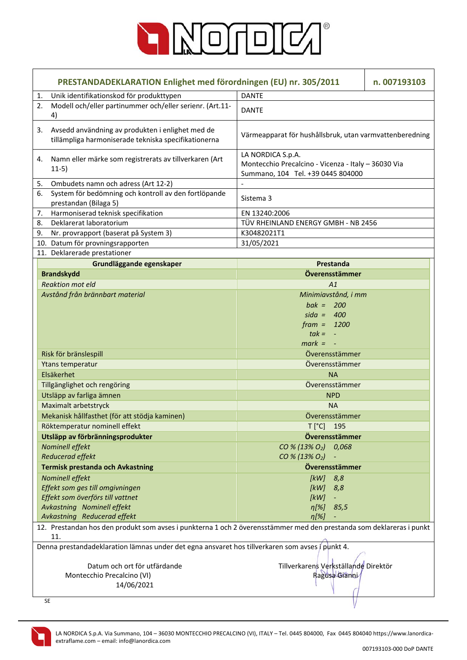

|    | PRESTANDADEKLARATION Enlighet med förordningen (EU) nr. 305/2011<br>n. 007193103                                            |                                                                                                               |  |
|----|-----------------------------------------------------------------------------------------------------------------------------|---------------------------------------------------------------------------------------------------------------|--|
| 1. | Unik identifikationskod för produkttypen                                                                                    | <b>DANTE</b>                                                                                                  |  |
| 2. | Modell och/eller partinummer och/eller serienr. (Art.11-<br>4)                                                              | <b>DANTE</b>                                                                                                  |  |
| 3. | Avsedd användning av produkten i enlighet med de<br>tillämpliga harmoniserade tekniska specifikationerna                    | Värmeapparat för hushållsbruk, utan varmvattenberedning                                                       |  |
| 4. | Namn eller märke som registrerats av tillverkaren (Art<br>$11-5)$                                                           | LA NORDICA S.p.A.<br>Montecchio Precalcino - Vicenza - Italy - 36030 Via<br>Summano, 104 Tel. +39 0445 804000 |  |
| 5. | Ombudets namn och adress (Art 12-2)                                                                                         |                                                                                                               |  |
| 6. | System för bedömning och kontroll av den fortlöpande<br>prestandan (Bilaga 5)                                               | Sistema 3                                                                                                     |  |
| 7. | Harmoniserad teknisk specifikation                                                                                          | EN 13240:2006                                                                                                 |  |
| 8. | Deklarerat laboratorium                                                                                                     | TÜV RHEINLAND ENERGY GMBH - NB 2456                                                                           |  |
| 9. | Nr. provrapport (baserat på System 3)                                                                                       | K30482021T1                                                                                                   |  |
|    | 10. Datum för provningsrapporten                                                                                            | 31/05/2021                                                                                                    |  |
|    | 11. Deklarerade prestationer                                                                                                |                                                                                                               |  |
|    | Grundläggande egenskaper                                                                                                    | Prestanda                                                                                                     |  |
|    | <b>Brandskydd</b>                                                                                                           | Överensstämmer                                                                                                |  |
|    | <b>Reaktion mot eld</b>                                                                                                     | A1                                                                                                            |  |
|    | Avstånd från brännbart material                                                                                             | Minimiavstånd, i mm                                                                                           |  |
|    |                                                                                                                             | bak = $200$                                                                                                   |  |
|    |                                                                                                                             | sida = $400$                                                                                                  |  |
|    |                                                                                                                             | $frame = 1200$                                                                                                |  |
|    |                                                                                                                             | $tak = -$                                                                                                     |  |
|    |                                                                                                                             | $mark = -$                                                                                                    |  |
|    | Risk för bränslespill                                                                                                       | Överensstämmer                                                                                                |  |
|    | Ytans temperatur                                                                                                            | Överensstämmer                                                                                                |  |
|    | Elsäkerhet                                                                                                                  | <b>NA</b>                                                                                                     |  |
|    | Tillgänglighet och rengöring                                                                                                | Överensstämmer                                                                                                |  |
|    | Utsläpp av farliga ämnen                                                                                                    | <b>NPD</b>                                                                                                    |  |
|    | Maximalt arbetstryck                                                                                                        | <b>NA</b>                                                                                                     |  |
|    | Mekanisk hållfasthet (för att stödja kaminen)                                                                               | Överensstämmer                                                                                                |  |
|    | Röktemperatur nominell effekt                                                                                               | $T[^{\circ}C]$<br>195                                                                                         |  |
|    | Utsläpp av förbränningsprodukter                                                                                            | Överensstämmer                                                                                                |  |
|    | Nominell effekt                                                                                                             | CO % (13% O <sub>2</sub> ) 0,068                                                                              |  |
|    | Reducerad effekt                                                                                                            | CO % (13% O <sub>2</sub> )                                                                                    |  |
|    | Termisk prestanda och Avkastning                                                                                            | Överensstämmer                                                                                                |  |
|    | Nominell effekt                                                                                                             | [kW]<br>8,8                                                                                                   |  |
|    | Effekt som ges till omgivningen                                                                                             | [kW]<br>8,8                                                                                                   |  |
|    | Effekt som överförs till vattnet                                                                                            | [kW]                                                                                                          |  |
|    | Avkastning Nominell effekt                                                                                                  | $\eta[\%]$<br>85,5                                                                                            |  |
|    | Avkastning Reducerad effekt                                                                                                 | $\eta[\%]$                                                                                                    |  |
|    | 12. Prestandan hos den produkt som avses i punkterna 1 och 2 överensstämmer med den prestanda som deklareras i punkt<br>11. |                                                                                                               |  |
|    | Denna prestandadeklaration lämnas under det egna ansvaret hos tillverkaren som avses i punkt 4.                             |                                                                                                               |  |
|    | Datum och ort för utfärdande                                                                                                | Tillverkarens Verkställande Direktör                                                                          |  |
|    | Montecchio Precalcino (VI)                                                                                                  | Ragusa Gianni                                                                                                 |  |
|    | 14/06/2021                                                                                                                  |                                                                                                               |  |
|    | <b>SE</b>                                                                                                                   |                                                                                                               |  |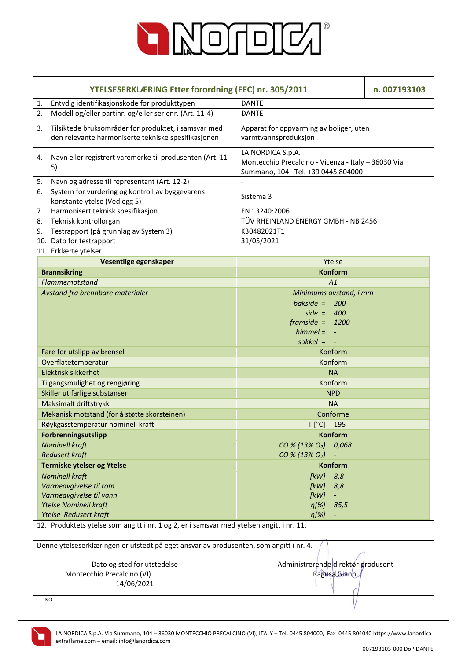

|    | YTELSESERKLÆRING Etter forordning (EEC) nr. 305/2011                                                        |                                                                                                               | n. 007193103 |  |  |
|----|-------------------------------------------------------------------------------------------------------------|---------------------------------------------------------------------------------------------------------------|--------------|--|--|
| 1. | Entydig identifikasjonskode for produkttypen                                                                | <b>DANTE</b>                                                                                                  |              |  |  |
| 2. | Modell og/eller partinr. og/eller serienr. (Art. 11-4)                                                      | <b>DANTE</b>                                                                                                  |              |  |  |
| 3. | Tilsiktede bruksområder for produktet, i samsvar med<br>den relevante harmoniserte tekniske spesifikasjonen | Apparat for oppvarming av boliger, uten<br>varmtvannsproduksjon                                               |              |  |  |
| 4. | Navn eller registrert varemerke til produsenten (Art. 11-<br>5)                                             | LA NORDICA S.p.A.<br>Montecchio Precalcino - Vicenza - Italy - 36030 Via<br>Summano, 104 Tel. +39 0445 804000 |              |  |  |
| 5. | Navn og adresse til representant (Art. 12-2)                                                                |                                                                                                               |              |  |  |
| 6. | System for vurdering og kontroll av byggevarens<br>konstante ytelse (Vedlegg 5)                             | Sistema 3                                                                                                     |              |  |  |
| 7. | Harmonisert teknisk spesifikasjon                                                                           | EN 13240:2006                                                                                                 |              |  |  |
| 8. | Teknisk kontrollorgan                                                                                       | TÜV RHEINLAND ENERGY GMBH - NB 2456                                                                           |              |  |  |
| 9. | Testrapport (på grunnlag av System 3)                                                                       | K30482021T1                                                                                                   |              |  |  |
|    | 10. Dato for testrapport                                                                                    | 31/05/2021                                                                                                    |              |  |  |
|    | 11. Erklærte ytelser                                                                                        |                                                                                                               |              |  |  |
|    | Vesentlige egenskaper                                                                                       | Ytelse                                                                                                        |              |  |  |
|    | <b>Brannsikring</b>                                                                                         | <b>Konform</b>                                                                                                |              |  |  |
|    | Flammemotstand                                                                                              | A1                                                                                                            |              |  |  |
|    | Avstand fra brennbare materialer                                                                            | Minimums avstand, i mm                                                                                        |              |  |  |
|    |                                                                                                             | bakside = $200$                                                                                               |              |  |  |
|    |                                                                                                             | side = $400$                                                                                                  |              |  |  |
|    |                                                                                                             | $framside = 1200$                                                                                             |              |  |  |
|    |                                                                                                             | $himmel =$                                                                                                    |              |  |  |
|    |                                                                                                             | $s$ okkel =                                                                                                   |              |  |  |
|    | Fare for utslipp av brensel                                                                                 | Konform                                                                                                       |              |  |  |
|    | Overflatetemperatur                                                                                         | Konform                                                                                                       |              |  |  |
|    | Elektrisk sikkerhet                                                                                         | <b>NA</b>                                                                                                     |              |  |  |
|    | Tilgangsmulighet og rengjøring                                                                              | Konform                                                                                                       |              |  |  |
|    | Skiller ut farlige substanser                                                                               | <b>NPD</b>                                                                                                    |              |  |  |
|    | Maksimalt driftstrykk                                                                                       | <b>NA</b>                                                                                                     |              |  |  |
|    | Mekanisk motstand (for å støtte skorsteinen)                                                                | Conforme                                                                                                      |              |  |  |
|    | Røykgasstemperatur nominell kraft                                                                           | $T[^{\circ}C]$<br>195                                                                                         |              |  |  |
|    | Forbrenningsutslipp                                                                                         | <b>Konform</b>                                                                                                |              |  |  |
|    | <b>Nominell kraft</b>                                                                                       | CO % (13% O <sub>2</sub> ) 0.068                                                                              |              |  |  |
|    | <b>Redusert kraft</b>                                                                                       | CO % (13% O <sub>2</sub> )                                                                                    |              |  |  |
|    | Termiske ytelser og Ytelse                                                                                  | <b>Konform</b>                                                                                                |              |  |  |
|    | <b>Nominell kraft</b>                                                                                       | [kW]<br>8,8                                                                                                   |              |  |  |
|    | Varmeavgivelse til rom                                                                                      | [kW]<br>8,8                                                                                                   |              |  |  |
|    | Varmeavgivelse til vann                                                                                     | [kW]<br>$\overline{\phantom{a}}$                                                                              |              |  |  |
|    | <b>Ytelse Nominell kraft</b>                                                                                | $\eta[\%]$<br>85,5                                                                                            |              |  |  |
|    | Ytelse Redusert kraft                                                                                       | $\eta[\%]$                                                                                                    |              |  |  |
|    | 12. Produktets ytelse som angitt i nr. 1 og 2, er i samsvar med ytelsen angitt i nr. 11.                    |                                                                                                               |              |  |  |
|    | Denne ytelseserklæringen er utstedt på eget ansvar av produsenten, som angitt i nr. 4.                      |                                                                                                               |              |  |  |
|    | Dato og sted for utstedelse                                                                                 | Administrerende direktør produsent                                                                            |              |  |  |
|    | Montecchio Precalcino (VI)                                                                                  | RagusalGianni                                                                                                 |              |  |  |
|    | 14/06/2021                                                                                                  |                                                                                                               |              |  |  |
|    | NO                                                                                                          |                                                                                                               |              |  |  |

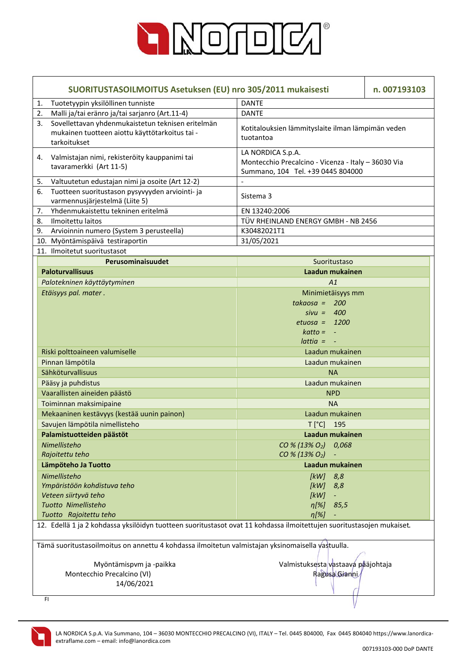

| SUORITUSTASOILMOITUS Asetuksen (EU) nro 305/2011 mukaisesti |                                                                                                                       |                                                                                                               | n. 007193103 |
|-------------------------------------------------------------|-----------------------------------------------------------------------------------------------------------------------|---------------------------------------------------------------------------------------------------------------|--------------|
| 1.                                                          | Tuotetyypin yksilöllinen tunniste                                                                                     | <b>DANTE</b>                                                                                                  |              |
| 2.                                                          | Malli ja/tai eränro ja/tai sarjanro (Art.11-4)                                                                        | <b>DANTE</b>                                                                                                  |              |
| 3.                                                          | Sovellettavan yhdenmukaistetun teknisen eritelmän<br>mukainen tuotteen aiottu käyttötarkoitus tai -<br>tarkoitukset   | Kotitalouksien lämmityslaite ilman lämpimän veden<br>tuotantoa                                                |              |
| 4.                                                          | Valmistajan nimi, rekisteröity kauppanimi tai<br>tavaramerkki (Art 11-5)                                              | LA NORDICA S.p.A.<br>Montecchio Precalcino - Vicenza - Italy - 36030 Via<br>Summano, 104 Tel. +39 0445 804000 |              |
| 5.                                                          | Valtuutetun edustajan nimi ja osoite (Art 12-2)                                                                       |                                                                                                               |              |
| 6.                                                          | Tuotteen suoritustason pysyvyyden arviointi- ja<br>varmennusjärjestelmä (Liite 5)                                     | Sistema 3                                                                                                     |              |
| 7.                                                          | Yhdenmukaistettu tekninen eritelmä                                                                                    | EN 13240:2006                                                                                                 |              |
| 8.                                                          | Ilmoitettu laitos                                                                                                     | TÜV RHEINLAND ENERGY GMBH - NB 2456                                                                           |              |
| 9.                                                          | Arvioinnin numero (System 3 perusteella)                                                                              | K30482021T1                                                                                                   |              |
|                                                             | 10. Myöntämispäivä testiraportin                                                                                      | 31/05/2021                                                                                                    |              |
|                                                             | 11. Ilmoitetut suoritustasot                                                                                          |                                                                                                               |              |
|                                                             | Perusominaisuudet                                                                                                     | Suoritustaso                                                                                                  |              |
|                                                             | <b>Paloturvallisuus</b>                                                                                               | Laadun mukainen                                                                                               |              |
|                                                             | Palotekninen käyttäytyminen                                                                                           | A1                                                                                                            |              |
|                                                             | Etäisyys pal. mater.                                                                                                  | Minimietäisyys mm                                                                                             |              |
|                                                             |                                                                                                                       | takaosa = $200$                                                                                               |              |
|                                                             |                                                                                                                       | $sivu = 400$                                                                                                  |              |
|                                                             |                                                                                                                       | $etuosa = 1200$                                                                                               |              |
|                                                             |                                                                                                                       | $katto = -$                                                                                                   |              |
|                                                             |                                                                                                                       | $lattice = -$                                                                                                 |              |
|                                                             | Riski polttoaineen valumiselle                                                                                        | Laadun mukainen                                                                                               |              |
|                                                             | Pinnan lämpötila                                                                                                      | Laadun mukainen                                                                                               |              |
|                                                             | Sähköturvallisuus                                                                                                     | <b>NA</b>                                                                                                     |              |
|                                                             | Pääsy ja puhdistus                                                                                                    | Laadun mukainen                                                                                               |              |
|                                                             | Vaarallisten aineiden päästö                                                                                          | <b>NPD</b>                                                                                                    |              |
|                                                             | Toiminnan maksimipaine                                                                                                | <b>NA</b>                                                                                                     |              |
|                                                             | Mekaaninen kestävyys (kestää uunin painon)                                                                            | Laadun mukainen                                                                                               |              |
|                                                             | Savujen lämpötila nimellisteho                                                                                        | T [°C] 195                                                                                                    |              |
|                                                             | Palamistuotteiden päästöt                                                                                             | Laadun mukainen                                                                                               |              |
|                                                             | Nimellisteho                                                                                                          | CO % (13% O <sub>2</sub> )<br>0,068                                                                           |              |
|                                                             | Rajoitettu teho                                                                                                       | CO % (13% O <sub>2</sub> )                                                                                    |              |
|                                                             | Lämpöteho Ja Tuotto                                                                                                   | Laadun mukainen                                                                                               |              |
|                                                             | Nimellisteho                                                                                                          | [ $kW$ ]<br>8,8                                                                                               |              |
|                                                             | Ympäristöön kohdistuva teho                                                                                           | [kW]<br>8,8                                                                                                   |              |
|                                                             | Veteen siirtyvä teho                                                                                                  | [kW]<br>$\blacksquare$                                                                                        |              |
|                                                             | Tuotto Nimellisteho                                                                                                   | $\eta[\%]$<br>85,5                                                                                            |              |
|                                                             | Tuotto Rajoitettu teho                                                                                                | $\eta[\%]$                                                                                                    |              |
|                                                             | 12. Edellä 1 ja 2 kohdassa yksilöidyn tuotteen suoritustasot ovat 11 kohdassa ilmoitettujen suoritustasojen mukaiset. |                                                                                                               |              |
|                                                             | Tämä suoritustasoilmoitus on annettu 4 kohdassa ilmoitetun valmistajan yksinomaisella yastuulla.                      |                                                                                                               |              |
|                                                             | Myöntämispvm ja -paikka                                                                                               | Valmistuksesta vastaava pääjohtaja                                                                            |              |
|                                                             | Montecchio Precalcino (VI)                                                                                            | Ragusa Gianni                                                                                                 |              |
|                                                             | 14/06/2021                                                                                                            |                                                                                                               |              |
|                                                             | FI.                                                                                                                   |                                                                                                               |              |

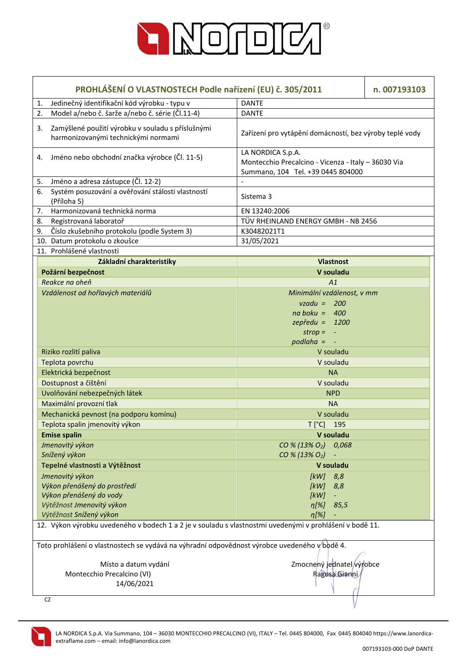

|    | PROHLÁŠENÍ O VLASTNOSTECH Podle nařízení (EU) č. 305/2011<br>n. 007193103                               |                                                                                                               |  |
|----|---------------------------------------------------------------------------------------------------------|---------------------------------------------------------------------------------------------------------------|--|
| 1. | Jedinečný identifikační kód výrobku - typu v                                                            | <b>DANTE</b>                                                                                                  |  |
| 2. | Model a/nebo č. šarže a/nebo č. série (Čl.11-4)                                                         | <b>DANTE</b>                                                                                                  |  |
| 3. | Zamýšlené použití výrobku v souladu s příslušnými<br>harmonizovanými technickými normami                | Zařízení pro vytápění domácností, bez výroby teplé vody                                                       |  |
|    | 4. Jméno nebo obchodní značka výrobce (Čl. 11-5)                                                        | LA NORDICA S.p.A.<br>Montecchio Precalcino - Vicenza - Italy - 36030 Via<br>Summano, 104 Tel. +39 0445 804000 |  |
| 5. | Jméno a adresa zástupce (Čl. 12-2)                                                                      |                                                                                                               |  |
| 6. | Systém posuzování a ověřování stálosti vlastností<br>(Příloha 5)                                        | Sistema 3                                                                                                     |  |
| 7. | Harmonizovaná technická norma                                                                           | EN 13240:2006                                                                                                 |  |
| 8. | Registrovaná laboratoř                                                                                  | TÜV RHEINLAND ENERGY GMBH - NB 2456                                                                           |  |
| 9. | Číslo zkušebního protokolu (podle System 3)                                                             | K30482021T1                                                                                                   |  |
|    | 10. Datum protokolu o zkoušce                                                                           | 31/05/2021                                                                                                    |  |
|    | 11. Prohlášené vlastnosti                                                                               |                                                                                                               |  |
|    | Základní charakteristiky                                                                                | <b>Vlastnost</b>                                                                                              |  |
|    | Požární bezpečnost                                                                                      | V souladu                                                                                                     |  |
|    | Reakce na oheň                                                                                          | A1                                                                                                            |  |
|    | Vzdálenost od hořlavých materiálů                                                                       | Minimální vzdálenost, v mm                                                                                    |  |
|    |                                                                                                         | $vzadu = 200$                                                                                                 |  |
|    |                                                                                                         | $na boku = 400$                                                                                               |  |
|    |                                                                                                         | $zepředu = 1200$                                                                                              |  |
|    |                                                                                                         | strop = $-$                                                                                                   |  |
|    |                                                                                                         | $p$ odlaha = $-$                                                                                              |  |
|    | Riziko rozlití paliva                                                                                   | V souladu                                                                                                     |  |
|    | Teplota povrchu                                                                                         | V souladu                                                                                                     |  |
|    | Elektrická bezpečnost                                                                                   | <b>NA</b>                                                                                                     |  |
|    | Dostupnost a čištění                                                                                    | V souladu                                                                                                     |  |
|    | Uvolňování nebezpečných látek                                                                           | <b>NPD</b>                                                                                                    |  |
|    | Maximální provozní tlak                                                                                 | <b>NA</b>                                                                                                     |  |
|    | Mechanická pevnost (na podporu komínu)                                                                  | V souladu                                                                                                     |  |
|    | Teplota spalin jmenovitý výkon                                                                          | $T[^{\circ}C]$ 195                                                                                            |  |
|    | <b>Emise spalin</b>                                                                                     | V souladu                                                                                                     |  |
|    | Jmenovitý výkon                                                                                         | $CO % (13% O2)$ 0,068                                                                                         |  |
|    | Snížený výkon                                                                                           | CO % (13% O <sub>2</sub> )                                                                                    |  |
|    | Tepelné vlastnosti a Výtěžnost                                                                          | V souladu                                                                                                     |  |
|    | Jmenovitý výkon                                                                                         | 8,8<br>[kW]                                                                                                   |  |
|    | Výkon přenášený do prostředí                                                                            | [kW]<br>8,8                                                                                                   |  |
|    | Výkon přenášený do vody                                                                                 | [kW]                                                                                                          |  |
|    | Výtěžnost Jmenovitý výkon                                                                               | $\eta[\%]$<br>85,5                                                                                            |  |
|    | Výtěžnost Snížený výkon                                                                                 | $\eta$ [%]                                                                                                    |  |
|    | 12. Výkon výrobku uvedeného v bodech 1 a 2 je v souladu s vlastnostmi uvedenými v prohlášení v bodě 11. |                                                                                                               |  |
|    | Toto prohlášení o vlastnostech se vydává na výhradní odpovědnost výrobce uvedeného v bodě 4.            |                                                                                                               |  |
|    | Zmocnený jednatel výrobce<br>Místo a datum vydání                                                       |                                                                                                               |  |
|    | Ragusa Gianni<br>Montecchio Precalcino (VI)                                                             |                                                                                                               |  |
|    | 14/06/2021                                                                                              |                                                                                                               |  |
|    |                                                                                                         |                                                                                                               |  |
|    | CZ                                                                                                      |                                                                                                               |  |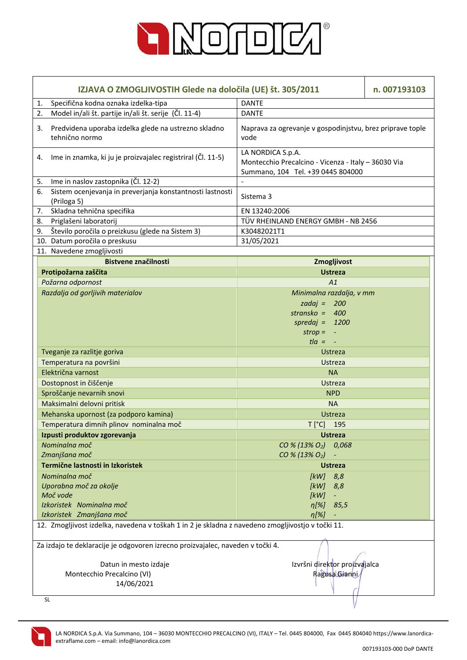

|    | IZJAVA O ZMOGLJIVOSTIH Glede na določila (UE) št. 305/2011<br>n. 007193103                        |                                                                                                               |  |  |
|----|---------------------------------------------------------------------------------------------------|---------------------------------------------------------------------------------------------------------------|--|--|
| 1. | Specifična kodna oznaka izdelka-tipa                                                              | <b>DANTE</b>                                                                                                  |  |  |
| 2. | Model in/ali št. partije in/ali št. serije (Čl. 11-4)                                             | <b>DANTE</b>                                                                                                  |  |  |
| 3. | Predvidena uporaba izdelka glede na ustrezno skladno<br>tehnično normo                            | Naprava za ogrevanje v gospodinjstvu, brez priprave tople<br>vode                                             |  |  |
| 4. | Ime in znamka, ki ju je proizvajalec registriral (Čl. 11-5)                                       | LA NORDICA S.p.A.<br>Montecchio Precalcino - Vicenza - Italy - 36030 Via<br>Summano, 104 Tel. +39 0445 804000 |  |  |
| 5. | Ime in naslov zastopnika (Čl. 12-2)                                                               |                                                                                                               |  |  |
| 6. | Sistem ocenjevanja in preverjanja konstantnosti lastnosti<br>(Priloga 5)                          | Sistema 3                                                                                                     |  |  |
| 7. | Skladna tehnična specifika                                                                        | EN 13240:2006                                                                                                 |  |  |
| 8. | Priglašeni laboratorij                                                                            | TÜV RHEINLAND ENERGY GMBH - NB 2456                                                                           |  |  |
| 9. | Število poročila o preizkusu (glede na Sistem 3)                                                  | K30482021T1                                                                                                   |  |  |
|    | 10. Datum poročila o preskusu                                                                     | 31/05/2021                                                                                                    |  |  |
|    | 11. Navedene zmogljivosti                                                                         |                                                                                                               |  |  |
|    | <b>Bistvene značilnosti</b>                                                                       | Zmogljivost                                                                                                   |  |  |
|    | Protipožarna zaščita                                                                              | <b>Ustreza</b>                                                                                                |  |  |
|    | Požarna odpornost                                                                                 | A1                                                                                                            |  |  |
|    | Razdalja od gorljivih materialov                                                                  | Minimalna razdalja, v mm                                                                                      |  |  |
|    |                                                                                                   | zadaj = $200$                                                                                                 |  |  |
|    |                                                                                                   | stransko = $400$                                                                                              |  |  |
|    |                                                                                                   | spredaj = $1200$                                                                                              |  |  |
|    |                                                                                                   | $strop = -$                                                                                                   |  |  |
|    |                                                                                                   | $t/a = -$                                                                                                     |  |  |
|    | Tveganje za razlitje goriva                                                                       | Ustreza                                                                                                       |  |  |
|    | Temperatura na površini                                                                           | Ustreza                                                                                                       |  |  |
|    | Električna varnost                                                                                | <b>NA</b>                                                                                                     |  |  |
|    | Dostopnost in čiščenje                                                                            | Ustreza                                                                                                       |  |  |
|    | Sproščanje nevarnih snovi                                                                         | <b>NPD</b>                                                                                                    |  |  |
|    | Maksimalni delovni pritisk                                                                        | <b>NA</b>                                                                                                     |  |  |
|    | Mehanska upornost (za podporo kamina)                                                             | <b>Ustreza</b>                                                                                                |  |  |
|    | Temperatura dimnih plinov nominalna moč                                                           | T [°C] 195                                                                                                    |  |  |
|    | Izpusti produktov zgorevanja                                                                      | <b>Ustreza</b>                                                                                                |  |  |
|    | Nominalna moč<br>Zmanjšana moč                                                                    | CO % (13% O <sub>2</sub> ) 0,068<br>CO % (13% O <sub>2</sub> )                                                |  |  |
|    | Termične lastnosti in Izkoristek                                                                  | <b>Ustreza</b>                                                                                                |  |  |
|    | Nominalna moč                                                                                     | [kW]<br>8,8                                                                                                   |  |  |
|    | Uporabna moč za okolje                                                                            | [kW]<br>8,8                                                                                                   |  |  |
|    | Moč vode                                                                                          | [kW]<br>$\blacksquare$                                                                                        |  |  |
|    | Izkoristek Nominalna moč                                                                          | $n[%]$ 85,5                                                                                                   |  |  |
|    | Izkoristek Zmanjšana moč                                                                          | $\eta[\%]$                                                                                                    |  |  |
|    | 12. Zmogljivost izdelka, navedena v toškah 1 in 2 je skladna z navedeno zmogljivostjo v točki 11. |                                                                                                               |  |  |
|    | Za izdajo te deklaracije je odgovoren izrecno proizvajalec, naveden v točki 4.                    |                                                                                                               |  |  |
|    | Datun in mesto izdaje                                                                             | Izvršni direktor proizvajalca                                                                                 |  |  |
|    | Montecchio Precalcino (VI)<br>Ragusa Gianni                                                       |                                                                                                               |  |  |
|    | 14/06/2021                                                                                        |                                                                                                               |  |  |
|    | <b>SL</b>                                                                                         |                                                                                                               |  |  |

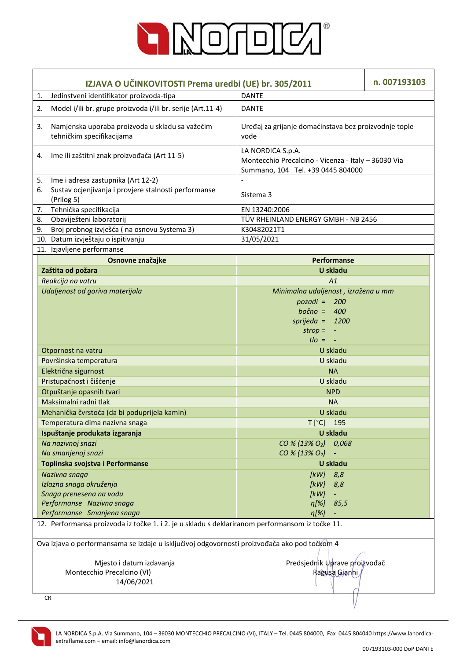

| IZJAVA O UČINKOVITOSTI Prema uredbi (UE) br. 305/2011                                           |                                                                              | n. 007193103                                                                                                  |  |  |
|-------------------------------------------------------------------------------------------------|------------------------------------------------------------------------------|---------------------------------------------------------------------------------------------------------------|--|--|
| 1.                                                                                              | Jedinstveni identifikator proizvoda-tipa<br><b>DANTE</b>                     |                                                                                                               |  |  |
| 2.                                                                                              | Model i/ili br. grupe proizvoda i/ili br. serije (Art.11-4)                  | <b>DANTE</b>                                                                                                  |  |  |
| 3.                                                                                              | Namjenska uporaba proizvoda u skladu sa važećim<br>tehničkim specifikacijama | Uređaj za grijanje domaćinstava bez proizvodnje tople<br>vode                                                 |  |  |
| 4.                                                                                              | Ime ili zaštitni znak proizvođača (Art 11-5)                                 | LA NORDICA S.p.A.<br>Montecchio Precalcino - Vicenza - Italy - 36030 Via<br>Summano, 104 Tel. +39 0445 804000 |  |  |
| 5.                                                                                              | Ime i adresa zastupnika (Art 12-2)                                           |                                                                                                               |  |  |
| 6.                                                                                              | Sustav ocjenjivanja i provjere stalnosti performanse<br>(Prilog 5)           | Sistema 3                                                                                                     |  |  |
| 7.                                                                                              | Tehnička specifikacija                                                       | EN 13240:2006                                                                                                 |  |  |
| 8.                                                                                              | Obaviješteni laboratorij                                                     | TÜV RHEINLAND ENERGY GMBH - NB 2456                                                                           |  |  |
| 9.                                                                                              | Broj probnog izvješća (na osnovu Systema 3)                                  | K30482021T1                                                                                                   |  |  |
|                                                                                                 | 10. Datum izvještaju o ispitivanju                                           | 31/05/2021                                                                                                    |  |  |
|                                                                                                 | 11. Izjavljene performanse                                                   |                                                                                                               |  |  |
|                                                                                                 | Osnovne značajke                                                             | Performanse                                                                                                   |  |  |
|                                                                                                 | Zaštita od požara                                                            | <b>U</b> skladu                                                                                               |  |  |
|                                                                                                 | Reakcija na vatru                                                            | A1                                                                                                            |  |  |
|                                                                                                 | Udaljenost od goriva materijala                                              | Minimalna udaljenost, izražena u mm                                                                           |  |  |
|                                                                                                 |                                                                              | $pozadi = 200$                                                                                                |  |  |
|                                                                                                 |                                                                              | bočno = $400$                                                                                                 |  |  |
|                                                                                                 |                                                                              | sprijeda = $1200$                                                                                             |  |  |
|                                                                                                 |                                                                              | $strop = -$                                                                                                   |  |  |
|                                                                                                 |                                                                              | $t$ lo = $-$                                                                                                  |  |  |
|                                                                                                 | Otpornost na vatru                                                           | U skladu                                                                                                      |  |  |
|                                                                                                 | Površinska temperatura                                                       | U skladu                                                                                                      |  |  |
|                                                                                                 | Električna sigurnost                                                         | <b>NA</b>                                                                                                     |  |  |
|                                                                                                 | Pristupačnost i čišćenje                                                     | U skladu                                                                                                      |  |  |
|                                                                                                 | Otpuštanje opasnih tvari                                                     | <b>NPD</b>                                                                                                    |  |  |
|                                                                                                 | Maksimalni radni tlak                                                        | <b>NA</b>                                                                                                     |  |  |
|                                                                                                 | Mehanička čvrstoća (da bi poduprijela kamin)                                 | U skladu                                                                                                      |  |  |
|                                                                                                 | Temperatura dima nazivna snaga                                               | T [°C] 195                                                                                                    |  |  |
|                                                                                                 | Ispuštanje produkata izgaranja                                               | U skladu                                                                                                      |  |  |
|                                                                                                 | Na nazivnoj snazi                                                            | $CO % (13% O2)$ 0,068                                                                                         |  |  |
|                                                                                                 | Na smanjenoj snazi                                                           | CO % (13% O <sub>2</sub> )                                                                                    |  |  |
|                                                                                                 | Toplinska svojstva i Performanse                                             | U skladu                                                                                                      |  |  |
|                                                                                                 | Nazivna snaga                                                                | 8,8<br>[kW]                                                                                                   |  |  |
|                                                                                                 | Izlazna snaga okruženja                                                      | [ $kW$ ]<br>8,8                                                                                               |  |  |
|                                                                                                 | Snaga prenesena na vodu                                                      | [kW]<br>$\overline{\phantom{a}}$                                                                              |  |  |
|                                                                                                 | Performanse Nazivna snaga                                                    | $\eta[\%]$<br>85,5                                                                                            |  |  |
|                                                                                                 | Performanse Smanjena snaga                                                   | $n[\%]$<br>÷                                                                                                  |  |  |
| 12. Performansa proizvoda iz točke 1. i 2. je u skladu s deklariranom performansom iz točke 11. |                                                                              |                                                                                                               |  |  |
| Ova izjava o performansama se izdaje u isključivoj odgovornosti proizvođača ako pod točkom 4    |                                                                              |                                                                                                               |  |  |
|                                                                                                 | Predsjednik Uprave proizvođač<br>Mjesto i datum izdavanja                    |                                                                                                               |  |  |
|                                                                                                 | Montecchio Precalcino (VI)<br>Ragusa Gianni                                  |                                                                                                               |  |  |
|                                                                                                 | 14/06/2021                                                                   |                                                                                                               |  |  |
|                                                                                                 |                                                                              |                                                                                                               |  |  |
|                                                                                                 | <b>CR</b>                                                                    |                                                                                                               |  |  |

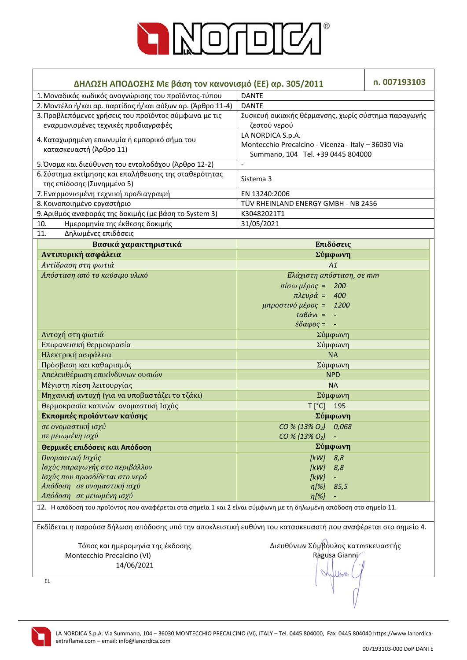

| ΔΗΛΩΣΗ ΑΠΟΔΟΣΗΣ Με βάση τον κανονισμό (ΕΕ) αρ. 305/2011                                                           | n. 007193103                                        |  |  |  |
|-------------------------------------------------------------------------------------------------------------------|-----------------------------------------------------|--|--|--|
| 1. Μοναδικός κωδικός αναγνώρισης του προϊόντος-τύπου                                                              | <b>DANTE</b>                                        |  |  |  |
| 2. Μοντέλο ή/και αρ. παρτίδας ή/και αύξων αρ. (Άρθρο 11-4)                                                        | <b>DANTE</b>                                        |  |  |  |
| 3. Προβλεπόμενες χρήσεις του προϊόντος σύμφωνα με τις                                                             | Συσκευή οικιακής θέρμανσης, χωρίς σύστημα παραγωγής |  |  |  |
| εναρμονισμένες τεχνικές προδιαγραφές                                                                              | ζεστού νερού                                        |  |  |  |
|                                                                                                                   | LA NORDICA S.p.A.                                   |  |  |  |
| 4. Καταχωρημένη επωνυμία ή εμπορικό σήμα του                                                                      | Montecchio Precalcino - Vicenza - Italy - 36030 Via |  |  |  |
| κατασκευαστή (Άρθρο 11)                                                                                           | Summano, 104 Tel. +39 0445 804000                   |  |  |  |
| 5. Όνομα και διεύθυνση του εντολοδόχου (Άρθρο 12-2)                                                               | $\overline{\phantom{a}}$                            |  |  |  |
| 6. Σύστημα εκτίμησης και επαλήθευσης της σταθερότητας                                                             |                                                     |  |  |  |
| της επίδοσης (Συνημμένο 5)                                                                                        | Sistema 3                                           |  |  |  |
| 7. Εναρμονισμένη τεχνική προδιαγραφή                                                                              | EN 13240:2006                                       |  |  |  |
| 8. Κοινοποιημένο εργαστήριο                                                                                       | TÜV RHEINLAND ENERGY GMBH - NB 2456                 |  |  |  |
| 9. Αριθμός αναφοράς της δοκιμής (με βάση το System 3)                                                             | K30482021T1                                         |  |  |  |
| Ημερομηνία της έκθεσης δοκιμής<br>10.                                                                             | 31/05/2021                                          |  |  |  |
| Δηλωμένες επιδόσεις<br>11.                                                                                        |                                                     |  |  |  |
| Βασικά χαρακτηριστικά                                                                                             | Επιδόσεις                                           |  |  |  |
| Αντιπυρική ασφάλεια                                                                                               | Σύμφωνη                                             |  |  |  |
| Αντίδραση στη φωτιά                                                                                               | A1                                                  |  |  |  |
| Απόσταση από το καύσιμο υλικό                                                                                     | Ελάχιστη απόσταση, σε mm                            |  |  |  |
|                                                                                                                   | πίσω μέρος =<br>200                                 |  |  |  |
|                                                                                                                   | $πλευρά =$<br>400                                   |  |  |  |
|                                                                                                                   | μπροστινό μέρος = 1200                              |  |  |  |
|                                                                                                                   | $t\alpha\beta\dot{\alpha}v\iota =$<br>- 4           |  |  |  |
|                                                                                                                   | $\epsilon \delta \alpha \varphi$ ος =<br>$\sim$ $-$ |  |  |  |
| Αντοχή στη φωτιά                                                                                                  | Σύμφωνη                                             |  |  |  |
| Επιφανειακή θερμοκρασία                                                                                           | Σύμφωνη                                             |  |  |  |
| Ηλεκτρική ασφάλεια                                                                                                | <b>NA</b>                                           |  |  |  |
| Πρόσβαση και καθαρισμός                                                                                           | Σύμφωνη                                             |  |  |  |
| Απελευθέρωση επικίνδυνων ουσιών                                                                                   | <b>NPD</b>                                          |  |  |  |
| Μέγιστη πίεση λειτουργίας                                                                                         | <b>NA</b>                                           |  |  |  |
| Μηχανική αντοχή (για να υποβαστάζει το τζάκι)                                                                     | Σύμφωνη                                             |  |  |  |
| Θερμοκρασία καπνών ονομαστική Ισχύς                                                                               | $T[^{\circ}C]$<br>195                               |  |  |  |
| Εκπομπές προϊόντων καύσης                                                                                         | Σύμφωνη                                             |  |  |  |
| σε ονομαστική ισχύ                                                                                                | CO % (13% O <sub>2</sub> ) 0.068                    |  |  |  |
| σε μειωμένη ισχύ                                                                                                  | $CO % (13% O2) -$                                   |  |  |  |
| Θερμικές επιδόσεις και Απόδοση                                                                                    | Σύμφωνη                                             |  |  |  |
|                                                                                                                   |                                                     |  |  |  |
| Ονομαστική Ισχύς<br>Ισχύς παραγωγής στο περιβάλλον                                                                | $[kW]$ 8,8                                          |  |  |  |
| Ισχύς που προσδίδεται στο νερό                                                                                    | [kW]<br>8,8<br>[kW]                                 |  |  |  |
| Απόδοση σε ονομαστική ισχύ                                                                                        | $\eta$ [%]                                          |  |  |  |
| Απόδοση σε μειωμένη ισχύ                                                                                          | 85,5<br>$\eta$ [%]                                  |  |  |  |
| 12. Η απόδοση του προϊόντος που αναφέρεται στα σημεία 1 και 2 είναι σύμφωνη με τη δηλωμένη απόδοση στο σημείο 11. |                                                     |  |  |  |
|                                                                                                                   |                                                     |  |  |  |
| Εκδίδεται η παρούσα δήλωση απόδοσης υπό την αποκλειστική ευθύνη του κατασκευαστή που αναφέρεται στο σημείο 4.     |                                                     |  |  |  |
| Διευθύνων Σύμβουλος κατασκευαστής<br>Τόπος και ημερομηνία της έκδοσης                                             |                                                     |  |  |  |
| Montecchio Precalcino (VI)                                                                                        | Ragusa Gianni                                       |  |  |  |
| 14/06/2021                                                                                                        |                                                     |  |  |  |
|                                                                                                                   |                                                     |  |  |  |
| EL.                                                                                                               |                                                     |  |  |  |

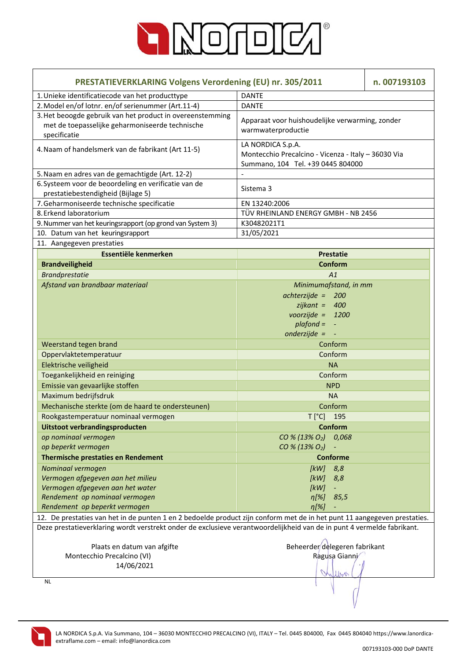

| <b>PRESTATIEVERKLARING Volgens Verordening (EU) nr. 305/2011</b>                                                             |                                                                                                               | n. 007193103 |  |  |
|------------------------------------------------------------------------------------------------------------------------------|---------------------------------------------------------------------------------------------------------------|--------------|--|--|
| 1. Unieke identificatiecode van het producttype                                                                              | <b>DANTE</b>                                                                                                  |              |  |  |
| 2. Model en/of lotnr. en/of serienummer (Art.11-4)                                                                           | <b>DANTE</b>                                                                                                  |              |  |  |
| 3. Het beoogde gebruik van het product in overeenstemming<br>met de toepasselijke geharmoniseerde technische<br>specificatie | Apparaat voor huishoudelijke verwarming, zonder<br>warmwaterproductie                                         |              |  |  |
| 4. Naam of handelsmerk van de fabrikant (Art 11-5)                                                                           | LA NORDICA S.p.A.<br>Montecchio Precalcino - Vicenza - Italy - 36030 Via<br>Summano, 104 Tel. +39 0445 804000 |              |  |  |
| 5. Naam en adres van de gemachtigde (Art. 12-2)                                                                              |                                                                                                               |              |  |  |
| 6. Systeem voor de beoordeling en verificatie van de<br>prestatiebestendigheid (Bijlage 5)                                   | Sistema 3                                                                                                     |              |  |  |
| 7. Geharmoniseerde technische specificatie                                                                                   | EN 13240:2006                                                                                                 |              |  |  |
| 8. Erkend laboratorium                                                                                                       | TÜV RHEINLAND ENERGY GMBH - NB 2456                                                                           |              |  |  |
| 9. Nummer van het keuringsrapport (op grond van System 3)                                                                    | K30482021T1                                                                                                   |              |  |  |
| 10. Datum van het keuringsrapport                                                                                            | 31/05/2021                                                                                                    |              |  |  |
| 11. Aangegeven prestaties                                                                                                    |                                                                                                               |              |  |  |
| Essentiële kenmerken                                                                                                         | <b>Prestatie</b>                                                                                              |              |  |  |
| <b>Brandveiligheid</b>                                                                                                       | Conform                                                                                                       |              |  |  |
| <b>Brandprestatie</b>                                                                                                        | A1                                                                                                            |              |  |  |
| Afstand van brandbaar materiaal                                                                                              | Minimumafstand, in mm                                                                                         |              |  |  |
|                                                                                                                              | $achterzijde =$<br>200                                                                                        |              |  |  |
|                                                                                                                              | $zijkant = 400$                                                                                               |              |  |  |
|                                                                                                                              | voorzijde = $1200$                                                                                            |              |  |  |
|                                                                                                                              | $plafond =$<br>$\blacksquare$                                                                                 |              |  |  |
|                                                                                                                              | onderzijde = $-$                                                                                              |              |  |  |
| Weerstand tegen brand                                                                                                        | Conform                                                                                                       |              |  |  |
| Oppervlaktetemperatuur                                                                                                       | Conform                                                                                                       |              |  |  |
| Elektrische veiligheid                                                                                                       | <b>NA</b>                                                                                                     |              |  |  |
| Toegankelijkheid en reiniging                                                                                                | Conform                                                                                                       |              |  |  |
| Emissie van gevaarlijke stoffen                                                                                              | <b>NPD</b>                                                                                                    |              |  |  |
| Maximum bedrijfsdruk                                                                                                         | <b>NA</b>                                                                                                     |              |  |  |
| Mechanische sterkte (om de haard te ondersteunen)                                                                            | Conform                                                                                                       |              |  |  |
| Rookgastemperatuur nominaal vermogen                                                                                         | $T[^{\circ}C]$<br>195                                                                                         |              |  |  |
| Uitstoot verbrandingsproducten                                                                                               | <b>Conform</b>                                                                                                |              |  |  |
| op nominaal vermogen                                                                                                         | CO % (13% O <sub>2</sub> )<br>0,068                                                                           |              |  |  |
| op beperkt vermogen                                                                                                          | CO % (13% O <sub>2</sub> )<br>$\overline{\phantom{a}}$                                                        |              |  |  |
| <b>Thermische prestaties en Rendement</b>                                                                                    | <b>Conforme</b>                                                                                               |              |  |  |
| Nominaal vermogen                                                                                                            | [kW]<br>8,8                                                                                                   |              |  |  |
| Vermogen afgegeven aan het milieu                                                                                            | [kW]<br>8,8                                                                                                   |              |  |  |
| Vermogen afgegeven aan het water                                                                                             | [kW]                                                                                                          |              |  |  |
| Rendement op nominaal vermogen                                                                                               | $\eta$ [%]<br>85,5                                                                                            |              |  |  |
| Rendement op beperkt vermogen                                                                                                | $\eta$ [%]                                                                                                    |              |  |  |
| 12. De prestaties van het in de punten 1 en 2 bedoelde product zijn conform met de in het punt 11 aangegeven prestaties.     |                                                                                                               |              |  |  |
| Deze prestatieverklaring wordt verstrekt onder de exclusieve verantwoordelijkheid van de in punt 4 vermelde fabrikant.       |                                                                                                               |              |  |  |
| Plaats en datum van afgifte                                                                                                  | Beheerder delegeren fabrikant                                                                                 |              |  |  |
| Montecchio Precalcino (VI)                                                                                                   | Ragusa Gianni                                                                                                 |              |  |  |
| 14/06/2021                                                                                                                   |                                                                                                               |              |  |  |
| $11 - 0$<br><b>NL</b>                                                                                                        |                                                                                                               |              |  |  |

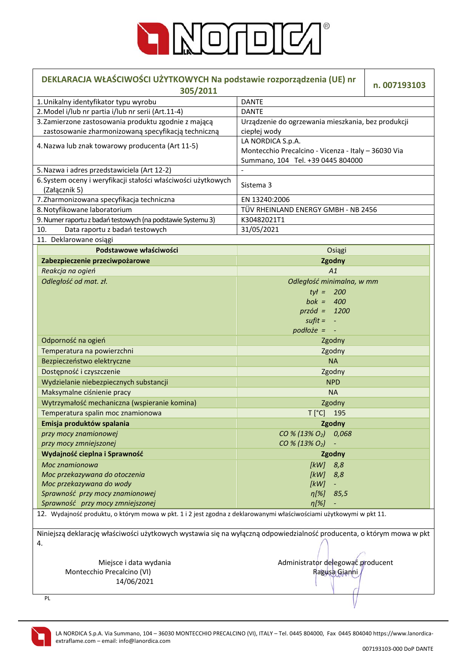

| DEKLARACJA WŁAŚCIWOŚCI UŻYTKOWYCH Na podstawie rozporządzenia (UE) nr<br>n. 007193103<br>305/2011                           |                                                                                                               |  |  |  |
|-----------------------------------------------------------------------------------------------------------------------------|---------------------------------------------------------------------------------------------------------------|--|--|--|
| 1. Unikalny identyfikator typu wyrobu                                                                                       | <b>DANTE</b>                                                                                                  |  |  |  |
| 2. Model i/lub nr partia i/lub nr serii (Art.11-4)                                                                          | <b>DANTE</b>                                                                                                  |  |  |  |
| 3. Zamierzone zastosowania produktu zgodnie z mającą                                                                        | Urządzenie do ogrzewania mieszkania, bez produkcji                                                            |  |  |  |
| zastosowanie zharmonizowaną specyfikacją techniczną                                                                         | ciepłej wody                                                                                                  |  |  |  |
| 4. Nazwa lub znak towarowy producenta (Art 11-5)                                                                            | LA NORDICA S.p.A.<br>Montecchio Precalcino - Vicenza - Italy - 36030 Via<br>Summano, 104 Tel. +39 0445 804000 |  |  |  |
| 5. Nazwa i adres przedstawiciela (Art 12-2)                                                                                 | $\overline{\phantom{a}}$                                                                                      |  |  |  |
| 6. System oceny i weryfikacji stałości właściwości użytkowych                                                               |                                                                                                               |  |  |  |
| (Załącznik 5)                                                                                                               | Sistema 3                                                                                                     |  |  |  |
| 7. Zharmonizowana specyfikacja techniczna                                                                                   | EN 13240:2006                                                                                                 |  |  |  |
| 8. Notyfikowane laboratorium                                                                                                | TÜV RHEINLAND ENERGY GMBH - NB 2456                                                                           |  |  |  |
| 9. Numer raportu z badań testowych (na podstawie Systemu 3)                                                                 | K30482021T1                                                                                                   |  |  |  |
| Data raportu z badań testowych<br>10.                                                                                       | 31/05/2021                                                                                                    |  |  |  |
| 11. Deklarowane osiągi                                                                                                      |                                                                                                               |  |  |  |
| Podstawowe właściwości                                                                                                      | Osiągi                                                                                                        |  |  |  |
| Zabezpieczenie przeciwpożarowe                                                                                              | Zgodny                                                                                                        |  |  |  |
|                                                                                                                             | A1                                                                                                            |  |  |  |
| Reakcja na ogień                                                                                                            |                                                                                                               |  |  |  |
| Odległość od mat. zł.                                                                                                       | Odległość minimalna, w mm                                                                                     |  |  |  |
|                                                                                                                             | $tvt = 200$                                                                                                   |  |  |  |
|                                                                                                                             | bok = $400$                                                                                                   |  |  |  |
|                                                                                                                             | $przód = 1200$                                                                                                |  |  |  |
|                                                                                                                             | $s$ ufit = $-$                                                                                                |  |  |  |
|                                                                                                                             | $podtoze =$                                                                                                   |  |  |  |
| Odporność na ogień                                                                                                          | Zgodny                                                                                                        |  |  |  |
| Temperatura na powierzchni                                                                                                  | Zgodny                                                                                                        |  |  |  |
| Bezpieczeństwo elektryczne                                                                                                  | <b>NA</b>                                                                                                     |  |  |  |
| Dostępność i czyszczenie                                                                                                    | Zgodny                                                                                                        |  |  |  |
| Wydzielanie niebezpiecznych substancji                                                                                      | <b>NPD</b>                                                                                                    |  |  |  |
| Maksymalne ciśnienie pracy                                                                                                  | <b>NA</b>                                                                                                     |  |  |  |
| Wytrzymałość mechaniczna (wspieranie komina)                                                                                | Zgodny                                                                                                        |  |  |  |
| Temperatura spalin moc znamionowa                                                                                           | T [°C] 195                                                                                                    |  |  |  |
| Emisja produktów spalania                                                                                                   | Zgodny                                                                                                        |  |  |  |
| przy mocy znamionowej                                                                                                       | CO % (13% O <sub>2</sub> ) 0,068                                                                              |  |  |  |
| przy mocy zmniejszonej                                                                                                      | CO % (13% O <sub>2</sub> )                                                                                    |  |  |  |
| Wydajność cieplna i Sprawność                                                                                               | Zgodny                                                                                                        |  |  |  |
| Moc znamionowa                                                                                                              | [kW]<br>8,8                                                                                                   |  |  |  |
| Moc przekazywana do otoczenia                                                                                               | [kW]<br>8,8                                                                                                   |  |  |  |
| Moc przekazywana do wody                                                                                                    | [kW]<br>$\overline{\phantom{a}}$                                                                              |  |  |  |
| Sprawność przy mocy znamionowej                                                                                             | $\eta[\%]$<br>85,5                                                                                            |  |  |  |
| Sprawność przy mocy zmniejszonej                                                                                            | $\eta[\%]$                                                                                                    |  |  |  |
| 12. Wydajność produktu, o którym mowa w pkt. 1 i 2 jest zgodna z deklarowanymi właściwościami użytkowymi w pkt 11.          |                                                                                                               |  |  |  |
|                                                                                                                             |                                                                                                               |  |  |  |
| Niniejszą deklarację właściwości użytkowych wystawia się na wyłączną odpowiedzialność producenta, o którym mowa w pkt<br>4. |                                                                                                               |  |  |  |
| Administrator delegować producent<br>Miejsce i data wydania                                                                 |                                                                                                               |  |  |  |
| Montecchio Precalcino (VI)                                                                                                  | Ragusa Gianni                                                                                                 |  |  |  |
| 14/06/2021                                                                                                                  |                                                                                                               |  |  |  |
|                                                                                                                             |                                                                                                               |  |  |  |
| PL                                                                                                                          |                                                                                                               |  |  |  |